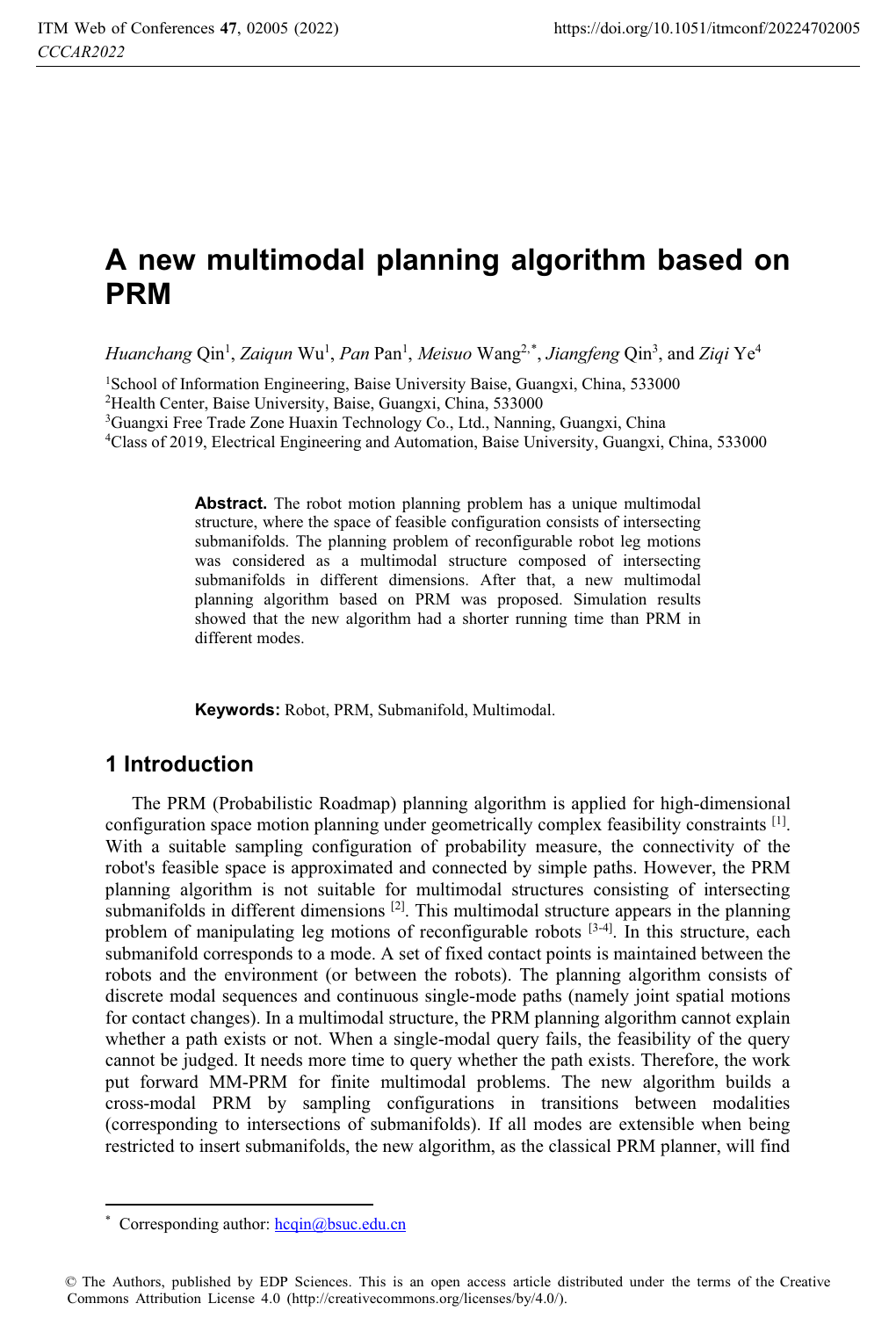# **A new multimodal planning algorithm based on PRM**

*Huanchang* Qin<sup>1</sup>, *Zaiqun* Wu<sup>1</sup>, *Pan* Pan<sup>1</sup>, *Meisuo* Wang<sup>2,\*</sup>, *Jiangfeng* Qin<sup>3</sup>, and Ziqi Ye<sup>4</sup>

<sup>1</sup>School of Information Engineering, Baise University Baise, Guangxi, China, 533000<br>
<sup>2</sup>Health Center, Baise University, Baise, Guangxi, China, 533000<br>
<sup>3</sup>Guangxi Free Trade Zone Huaxin Technology Co., Ltd., Nanning, Guan

**Abstract.** The robot motion planning problem has a unique multimodal structure, where the space of feasible configuration consists of intersecting submanifolds. The planning problem of reconfigurable robot leg motions was considered as a multimodal structure composed of intersecting submanifolds in different dimensions. After that, a new multimodal planning algorithm based on PRM was proposed. Simulation results showed that the new algorithm had a shorter running time than PRM in different modes.

**Keywords:** Robot, PRM, Submanifold, Multimodal.

# **1 Introduction**

The PRM (Probabilistic Roadmap) planning algorithm is applied for high-dimensional configuration space motion planning under geometrically complex feasibility constraints [1]. With a suitable sampling configuration of probability measure, the connectivity of the robot's feasible space is approximated and connected by simple paths. However, the PRM planning algorithm is not suitable for multimodal structures consisting of intersecting submanifolds in different dimensions  $[2]$ . This multimodal structure appears in the planning problem of manipulating leg motions of reconfigurable robots  $[3-4]$ . In this structure, each submanifold corresponds to a mode. A set of fixed contact points is maintained between the robots and the environment (or between the robots). The planning algorithm consists of discrete modal sequences and continuous single-mode paths (namely joint spatial motions for contact changes). In a multimodal structure, the PRM planning algorithm cannot explain whether a path exists or not. When a single-modal query fails, the feasibility of the query cannot be judged. It needs more time to query whether the path exists. Therefore, the work put forward MM-PRM for finite multimodal problems. The new algorithm builds a cross-modal PRM by sampling configurations in transitions between modalities (corresponding to intersections of submanifolds). If all modes are extensible when being restricted to insert submanifolds, the new algorithm, as the classical PRM planner, will find

 $\overline{a}$ 

<sup>\*</sup> Corresponding author:  $\frac{h \cdot \text{eqin}(a)}{h \cdot \text{eq}}$ bsuc.edu.cn

<sup>©</sup> The Authors, published by EDP Sciences. This is an open access article distributed under the terms of the Creative Commons Attribution License 4.0 (http://creativecommons.org/licenses/by/4.0/).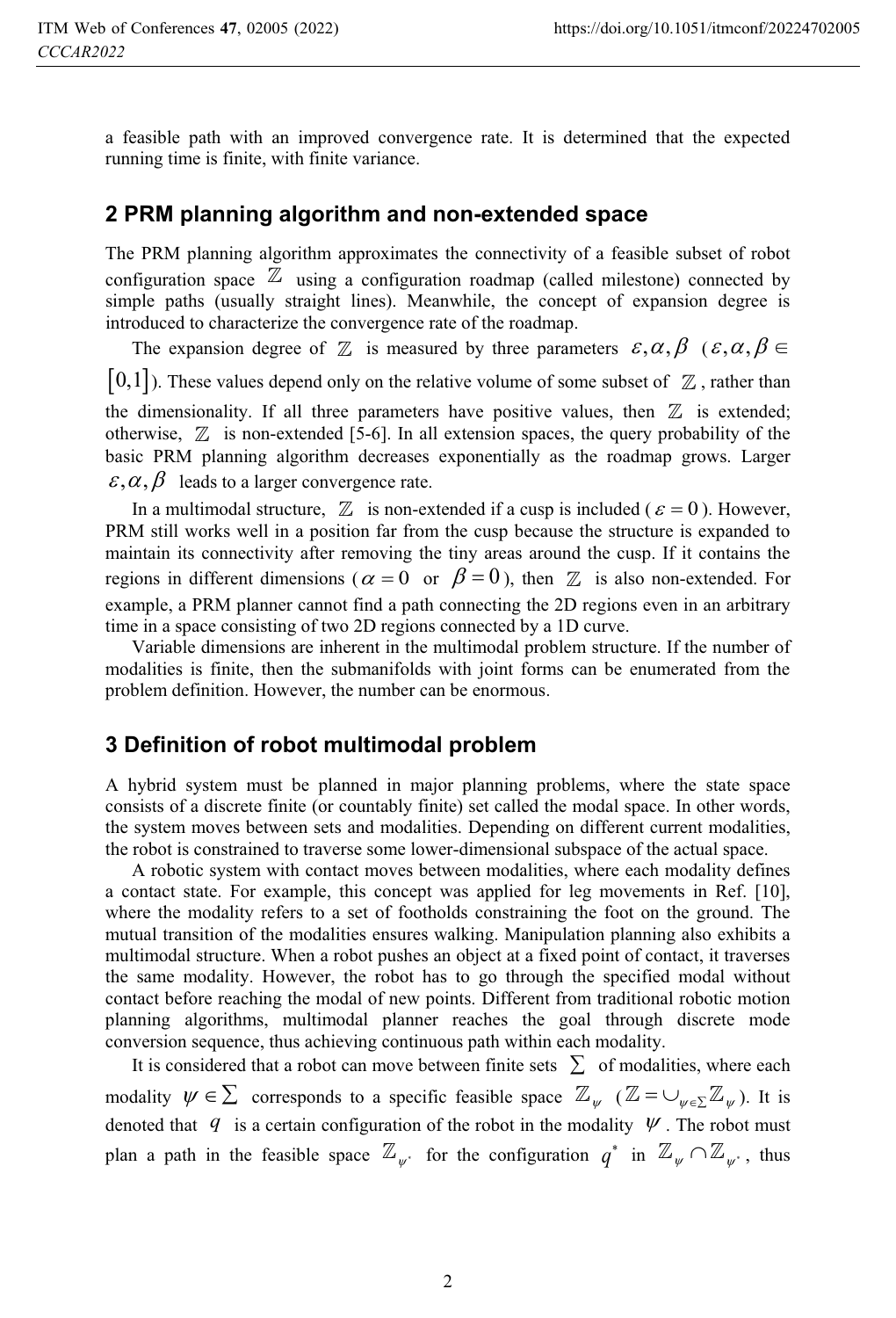a feasible path with an improved convergence rate. It is determined that the expected running time is finite, with finite variance.

#### **2 PRM planning algorithm and non-extended space**

The PRM planning algorithm approximates the connectivity of a feasible subset of robot configuration space  $\mathbb Z$  using a configuration roadmap (called milestone) connected by simple paths (usually straight lines). Meanwhile, the concept of expansion degree is introduced to characterize the convergence rate of the roadmap.

The expansion degree of  $\mathbb Z$  is measured by three parameters  $\varepsilon, \alpha, \beta \ \ (\varepsilon, \alpha, \beta \in$  $[0,1]$ ). These values depend only on the relative volume of some subset of  $\mathbb Z$ , rather than the dimensionality. If all three parameters have positive values, then  $\mathbb Z$  is extended; otherwise,  $\mathbb Z$  is non-extended [5-6]. In all extension spaces, the query probability of the basic PRM planning algorithm decreases exponentially as the roadmap grows. Larger  $\varepsilon, \alpha, \beta$  leads to a larger convergence rate.

In a multimodal structure,  $\mathbb Z$  is non-extended if a cusp is included ( $\varepsilon = 0$ ). However, PRM still works well in a position far from the cusp because the structure is expanded to maintain its connectivity after removing the tiny areas around the cusp. If it contains the regions in different dimensions ( $\alpha = 0$  or  $\beta = 0$ ), then  $\mathbb Z$  is also non-extended. For example, a PRM planner cannot find a path connecting the 2D regions even in an arbitrary time in a space consisting of two 2D regions connected by a 1D curve.

Variable dimensions are inherent in the multimodal problem structure. If the number of modalities is finite, then the submanifolds with joint forms can be enumerated from the problem definition. However, the number can be enormous.

#### **3 Definition of robot multimodal problem**

A hybrid system must be planned in major planning problems, where the state space consists of a discrete finite (or countably finite) set called the modal space. In other words, the system moves between sets and modalities. Depending on different current modalities, the robot is constrained to traverse some lower-dimensional subspace of the actual space.

A robotic system with contact moves between modalities, where each modality defines a contact state. For example, this concept was applied for leg movements in Ref. [10], where the modality refers to a set of footholds constraining the foot on the ground. The mutual transition of the modalities ensures walking. Manipulation planning also exhibits a multimodal structure. When a robot pushes an object at a fixed point of contact, it traverses the same modality. However, the robot has to go through the specified modal without contact before reaching the modal of new points. Different from traditional robotic motion planning algorithms, multimodal planner reaches the goal through discrete mode conversion sequence, thus achieving continuous path within each modality.

It is considered that a robot can move between finite sets  $\sum$  of modalities, where each modality  $\psi \in \sum$  corresponds to a specific feasible space  $\mathbb{Z}_{\psi}$  ( $\mathbb{Z} = \bigcup_{\psi \in \sum} \mathbb{Z}_{\psi}$ ). It is denoted that  $q$  is a certain configuration of the robot in the modality  $\Psi$ . The robot must plan a path in the feasible space  $\mathbb{Z}_{\psi^*}$  for the configuration  $q^*$  in  $\mathbb{Z}_{\psi} \cap \mathbb{Z}_{\psi^*}$ , thus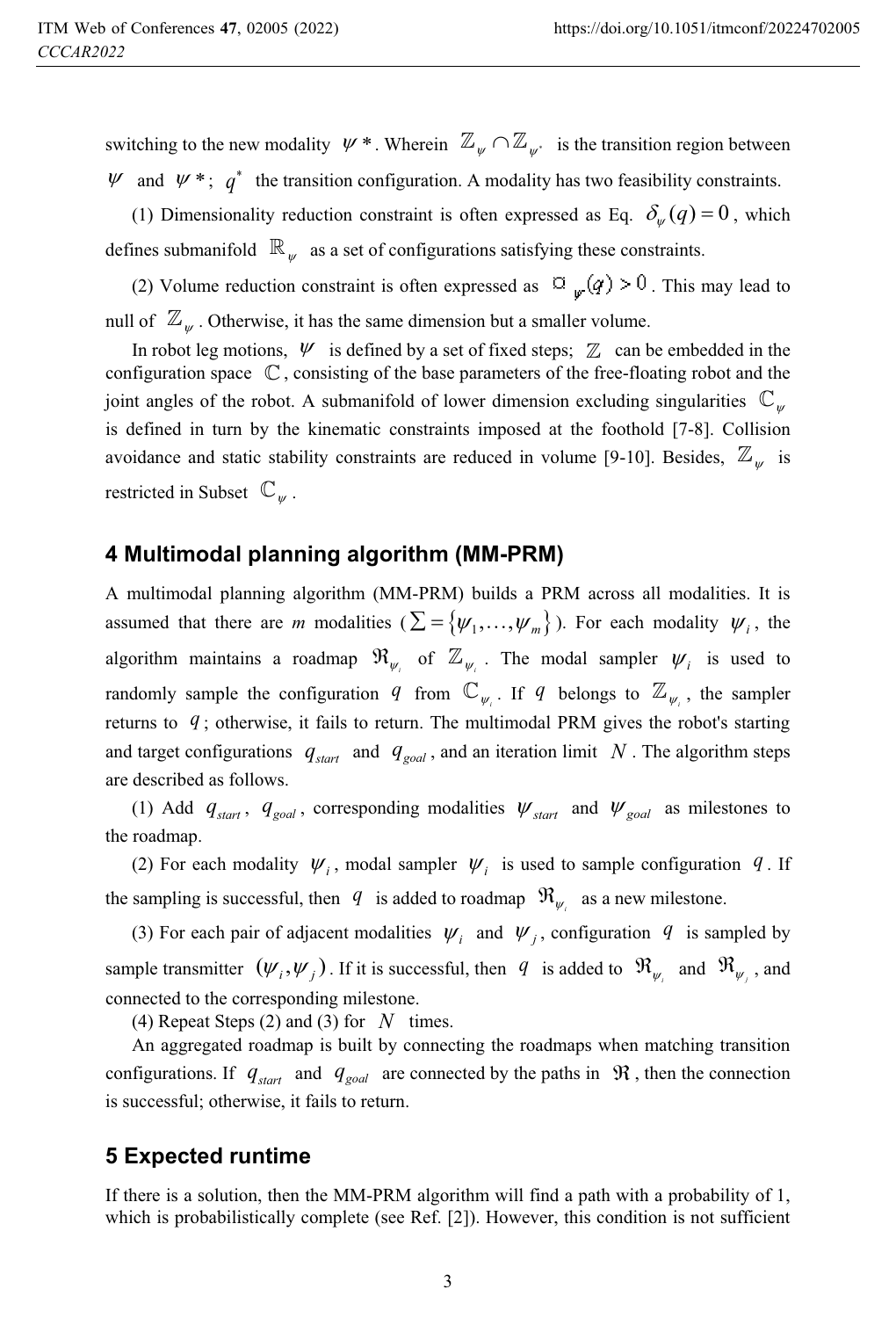switching to the new modality  $\psi^*$ . Wherein  $\mathbb{Z}_{\psi} \cap \mathbb{Z}_{\psi^*}$  is the transition region between  $\psi$  and  $\psi$ <sup>\*</sup>;  $q^*$  the transition configuration. A modality has two feasibility constraints.

(1) Dimensionality reduction constraint is often expressed as Eq.  $\delta_{\psi}(q) = 0$ , which defines submanifold  $\mathbb{R}_{w}$  as a set of configurations satisfying these constraints.

(2) Volume reduction constraint is often expressed as  $\Box_{w}(q) > 0$ . This may lead to null of  $\mathbb{Z}_{\psi}$ . Otherwise, it has the same dimension but a smaller volume.

In robot leg motions,  $\psi$  is defined by a set of fixed steps;  $\mathbb Z$  can be embedded in the configuration space  $\mathbb C$ , consisting of the base parameters of the free-floating robot and the joint angles of the robot. A submanifold of lower dimension excluding singularities  $\mathbb{C}_{w}$ is defined in turn by the kinematic constraints imposed at the foothold [7-8]. Collision avoidance and static stability constraints are reduced in volume [9-10]. Besides,  $\mathbb{Z}_{\psi}$  is restricted in Subset  $\mathbb{C}_w$ .

#### **4 Multimodal planning algorithm (MM-PRM)**

A multimodal planning algorithm (MM-PRM) builds a PRM across all modalities. It is assumed that there are *m* modalities  $(\sum = {\{\psi_1, ..., \psi_m\}})$ . For each modality  $\psi_i$ , the algorithm maintains a roadmap  $\Re_{\psi_i}$  of  $\mathbb{Z}_{\psi_i}$ . The modal sampler  $\psi_i$  is used to randomly sample the configuration *q* from  $\mathbb{C}_{\psi_i}$ . If *q* belongs to  $\mathbb{Z}_{\psi_i}$ , the sampler returns to *q* ; otherwise, it fails to return. The multimodal PRM gives the robot's starting and target configurations  $q_{start}$  and  $q_{goal}$ , and an iteration limit N. The algorithm steps are described as follows.

(1) Add  $q_{start}$ ,  $q_{goal}$ , corresponding modalities  $\psi_{start}$  and  $\psi_{goal}$  as milestones to the roadmap.

(2) For each modality  $\psi_i$ , modal sampler  $\psi_i$  is used to sample configuration  $q$ . If the sampling is successful, then  $q$  is added to roadmap  $\mathfrak{R}_{\psi_i}$  as a new milestone.

(3) For each pair of adjacent modalities  $\psi_i$  and  $\psi_j$ , configuration  $q$  is sampled by sample transmitter  $(\psi_i, \psi_j)$ . If it is successful, then  $q$  is added to  $\mathfrak{R}_{\psi_i}$  and  $\mathfrak{R}_{\psi_j}$ , and connected to the corresponding milestone.

(4) Repeat Steps (2) and (3) for *N* times.

An aggregated roadmap is built by connecting the roadmaps when matching transition configurations. If  $q_{start}$  and  $q_{goal}$  are connected by the paths in  $\Re$ , then the connection is successful; otherwise, it fails to return.

#### **5 Expected runtime**

If there is a solution, then the MM-PRM algorithm will find a path with a probability of 1, which is probabilistically complete (see Ref. [2]). However, this condition is not sufficient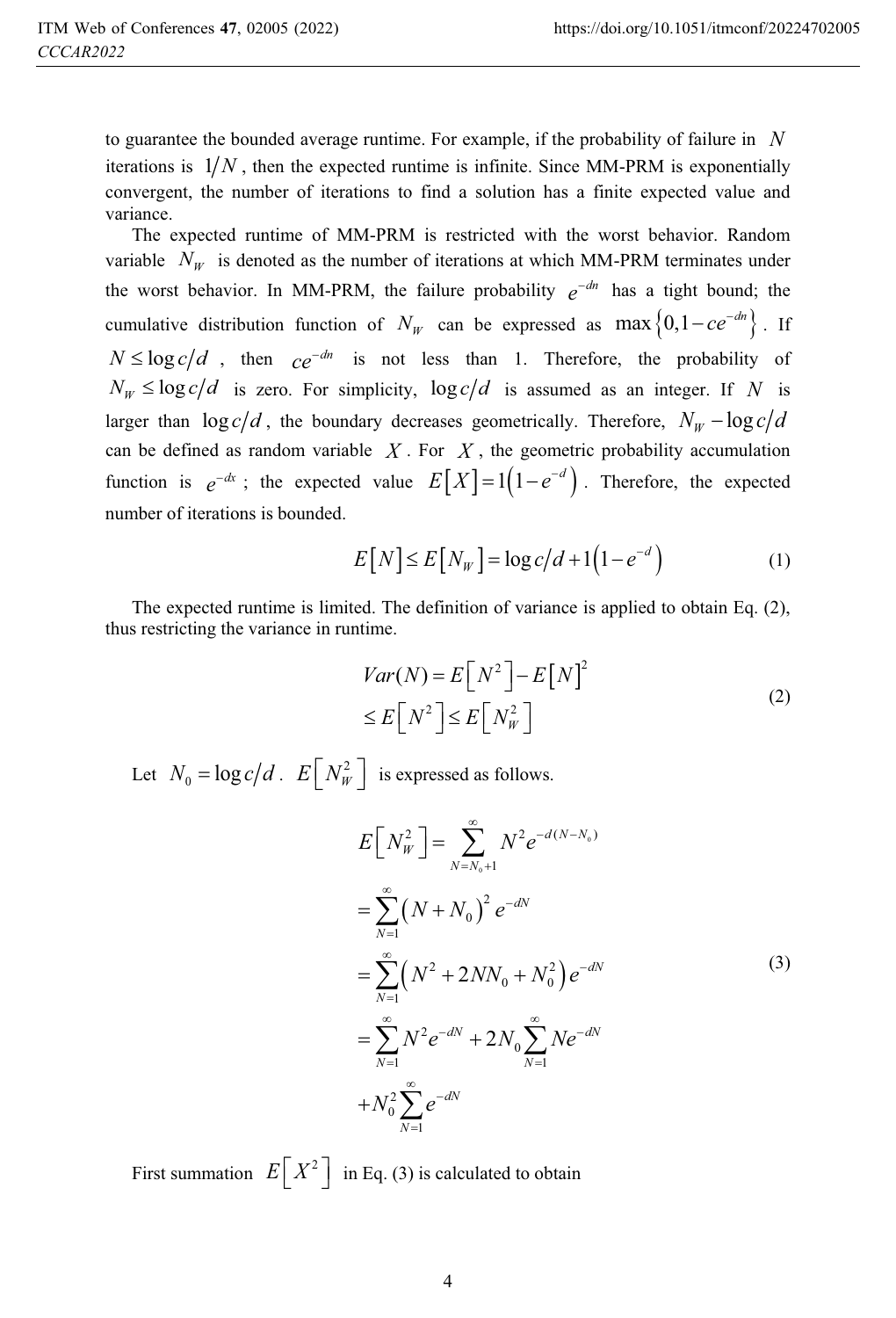to guarantee the bounded average runtime. For example, if the probability of failure in *N* iterations is  $1/N$ , then the expected runtime is infinite. Since MM-PRM is exponentially convergent, the number of iterations to find a solution has a finite expected value and variance.

The expected runtime of MM-PRM is restricted with the worst behavior. Random variable  $N_w$  is denoted as the number of iterations at which MM-PRM terminates under the worst behavior. In MM-PRM, the failure probability  $e^{-dn}$  has a tight bound; the cumulative distribution function of  $N_W$  can be expressed as  $\max\left\{0, 1 - ce^{-dn}\right\}$ . If  $N \leq \log c/d$ , then  $ce^{-dn}$  is not less than 1. Therefore, the probability of  $N_w \leq \log c/d$  is zero. For simplicity,  $\log c/d$  is assumed as an integer. If *N* is larger than  $\log c/d$ , the boundary decreases geometrically. Therefore,  $N_w - \log c/d$ can be defined as random variable  $X$ . For  $X$ , the geometric probability accumulation function is  $e^{-dx}$ ; the expected value  $E[X] = 1(1 - e^{-d})$ . Therefore, the expected number of iterations is bounded.

$$
E[N] \le E[N_W] = \log c/d + 1(1 - e^{-d})
$$
 (1)

The expected runtime is limited. The definition of variance is applied to obtain Eq. (2), thus restricting the variance in runtime.

$$
Var(N) = E[N^2] - E[N]^2
$$
  
\n
$$
\leq E[N^2] \leq E[N_W^2]
$$
\n(2)

Let  $N_0 = \log c/d$ .  $E\left[N_w^2\right]$  is expressed as follows.

$$
E[N_W^2] = \sum_{N=N_0+1}^{\infty} N^2 e^{-d(N-N_0)}
$$
  
= 
$$
\sum_{N=1}^{\infty} (N+N_0)^2 e^{-dN}
$$
  
= 
$$
\sum_{N=1}^{\infty} (N^2 + 2NN_0 + N_0^2) e^{-dN}
$$
  
= 
$$
\sum_{N=1}^{\infty} N^2 e^{-dN} + 2N_0 \sum_{N=1}^{\infty} N e^{-dN}
$$
  
+ 
$$
N_0^2 \sum_{N=1}^{\infty} e^{-dN}
$$
 (3)

First summation  $E[X^2]$  in Eq. (3) is calculated to obtain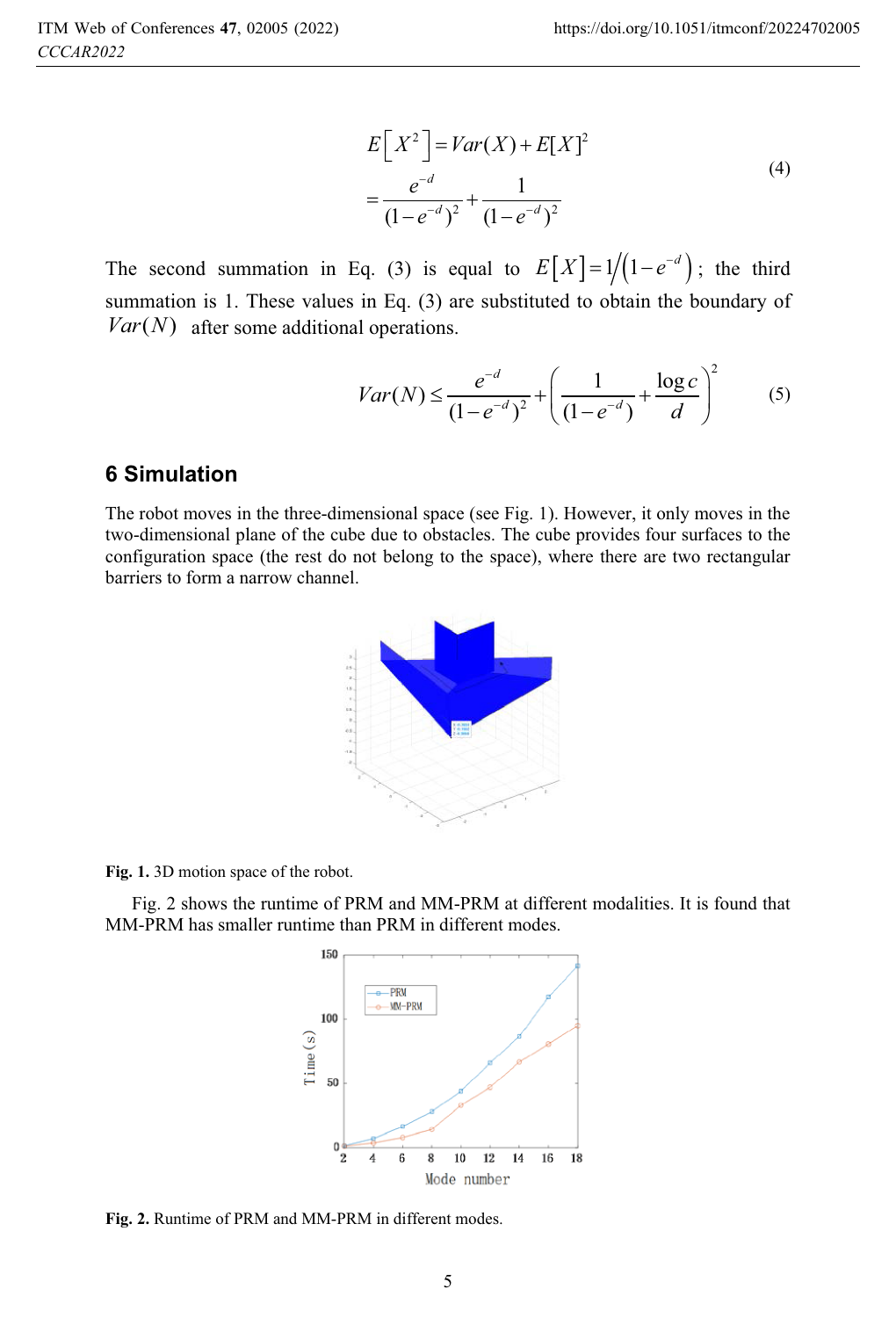$$
E[X^{2}] = Var(X) + E[X]^{2}
$$
  
= 
$$
\frac{e^{-d}}{(1 - e^{-d})^{2}} + \frac{1}{(1 - e^{-d})^{2}}
$$
 (4)

The second summation in Eq. (3) is equal to  $E[X] = 1/(1-e^{-d})$ ; the third summation is 1. These values in Eq. (3) are substituted to obtain the boundary of  $Var(N)$  after some additional operations.

$$
Var(N) \le \frac{e^{-d}}{(1 - e^{-d})^2} + \left(\frac{1}{(1 - e^{-d})} + \frac{\log c}{d}\right)^2 \tag{5}
$$

# **6 Simulation**

The robot moves in the three-dimensional space (see Fig. 1). However, it only moves in the two-dimensional plane of the cube due to obstacles. The cube provides four surfaces to the configuration space (the rest do not belong to the space), where there are two rectangular barriers to form a narrow channel.



**Fig. 1.** 3D motion space of the robot.

Fig. 2 shows the runtime of PRM and MM-PRM at different modalities. It is found that MM-PRM has smaller runtime than PRM in different modes.



**Fig. 2.** Runtime of PRM and MM-PRM in different modes.